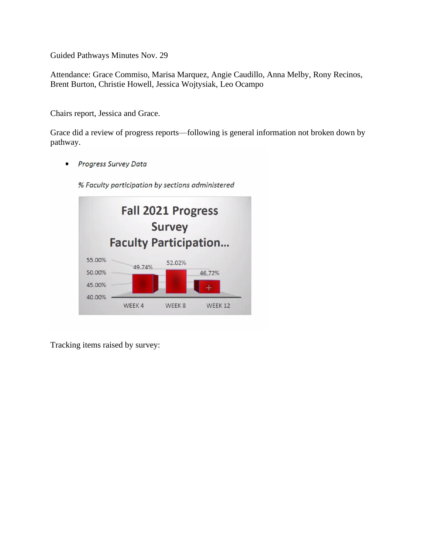Guided Pathways Minutes Nov. 29

Attendance: Grace Commiso, Marisa Marquez, Angie Caudillo, Anna Melby, Rony Recinos, Brent Burton, Christie Howell, Jessica Wojtysiak, Leo Ocampo

Chairs report, Jessica and Grace.

Grace did a review of progress reports—following is general information not broken down by pathway.

Progress Survey Data  $\bullet$ 

% Faculty participation by sections administered



Tracking items raised by survey: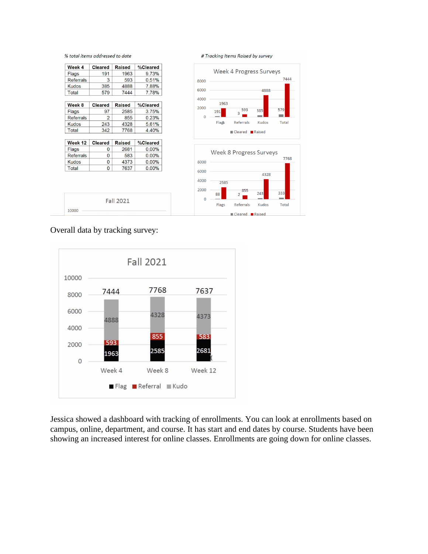

# Tracking Items Raised by survey



## Overall data by tracking survey:

10000

**Fall 2021** 



Jessica showed a dashboard with tracking of enrollments. You can look at enrollments based on campus, online, department, and course. It has start and end dates by course. Students have been showing an increased interest for online classes. Enrollments are going down for online classes.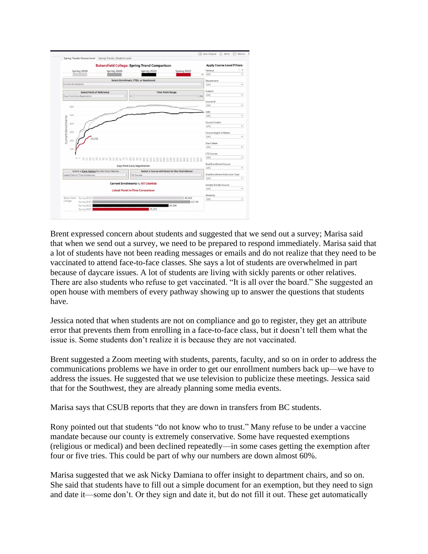

Brent expressed concern about students and suggested that we send out a survey; Marisa said that when we send out a survey, we need to be prepared to respond immediately. Marisa said that a lot of students have not been reading messages or emails and do not realize that they need to be vaccinated to attend face-to-face classes. She says a lot of students are overwhelmed in part because of daycare issues. A lot of students are living with sickly parents or other relatives. There are also students who refuse to get vaccinated. "It is all over the board." She suggested an open house with members of every pathway showing up to answer the questions that students have.

Jessica noted that when students are not on compliance and go to register, they get an attribute error that prevents them from enrolling in a face-to-face class, but it doesn't tell them what the issue is. Some students don't realize it is because they are not vaccinated.

Brent suggested a Zoom meeting with students, parents, faculty, and so on in order to address the communications problems we have in order to get our enrollment numbers back up—we have to address the issues. He suggested that we use television to publicize these meetings. Jessica said that for the Southwest, they are already planning some media events.

Marisa says that CSUB reports that they are down in transfers from BC students.

Rony pointed out that students "do not know who to trust." Many refuse to be under a vaccine mandate because our county is extremely conservative. Some have requested exemptions (religious or medical) and been declined repeatedly—in some cases getting the exemption after four or five tries. This could be part of why our numbers are down almost 60%.

Marisa suggested that we ask Nicky Damiana to offer insight to department chairs, and so on. She said that students have to fill out a simple document for an exemption, but they need to sign and date it—some don't. Or they sign and date it, but do not fill it out. These get automatically